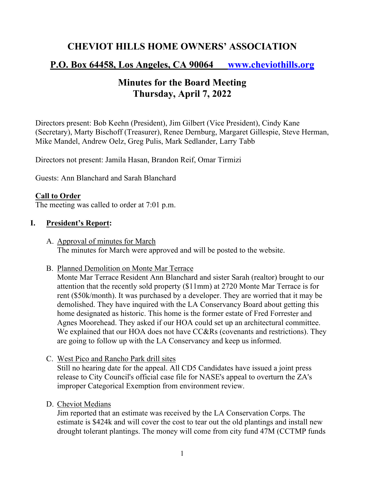# **CHEVIOT HILLS HOME OWNERS' ASSOCIATION**

# **P.O. Box 64458, Los Angeles, CA 90064 www.cheviothills.org**

# **Minutes for the Board Meeting Thursday, April 7, 2022**

Directors present: Bob Keehn (President), Jim Gilbert (Vice President), Cindy Kane (Secretary), Marty Bischoff (Treasurer), Renee Dernburg, Margaret Gillespie, Steve Herman, Mike Mandel, Andrew Oelz, Greg Pulis, Mark Sedlander, Larry Tabb

Directors not present: Jamila Hasan, Brandon Reif, Omar Tirmizi

Guests: Ann Blanchard and Sarah Blanchard

## **Call to Order**

The meeting was called to order at 7:01 p.m.

#### **I. President's Report:**

- A. Approval of minutes for March The minutes for March were approved and will be posted to the website.
- B. Planned Demolition on Monte Mar Terrace

Monte Mar Terrace Resident Ann Blanchard and sister Sarah (realtor) brought to our attention that the recently sold property (\$11mm) at 2720 Monte Mar Terrace is for rent (\$50k/month). It was purchased by a developer. They are worried that it may be demolished. They have inquired with the LA Conservancy Board about getting this home designated as historic. This home is the former estate of Fred Forrester and Agnes Moorehead. They asked if our HOA could set up an architectural committee. We explained that our HOA does not have CC&Rs (covenants and restrictions). They are going to follow up with the LA Conservancy and keep us informed.

C. West Pico and Rancho Park drill sites

Still no hearing date for the appeal. All CD5 Candidates have issued a joint press release to City Council's official case file for NASE's appeal to overturn the ZA's improper Categorical Exemption from environment review.

D. Cheviot Medians

Jim reported that an estimate was received by the LA Conservation Corps. The estimate is \$424k and will cover the cost to tear out the old plantings and install new drought tolerant plantings. The money will come from city fund 47M (CCTMP funds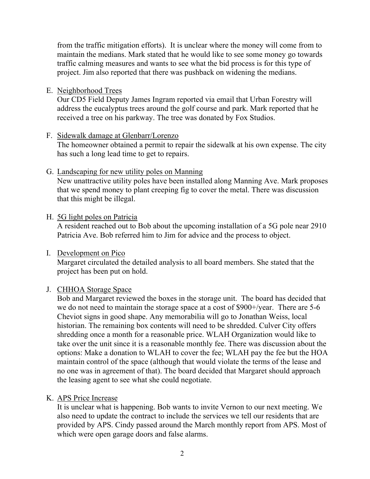from the traffic mitigation efforts). It is unclear where the money will come from to maintain the medians. Mark stated that he would like to see some money go towards traffic calming measures and wants to see what the bid process is for this type of project. Jim also reported that there was pushback on widening the medians.

#### E. Neighborhood Trees

Our CD5 Field Deputy James Ingram reported via email that Urban Forestry will address the eucalyptus trees around the golf course and park. Mark reported that he received a tree on his parkway. The tree was donated by Fox Studios.

#### F. Sidewalk damage at Glenbarr/Lorenzo

The homeowner obtained a permit to repair the sidewalk at his own expense. The city has such a long lead time to get to repairs.

#### G. Landscaping for new utility poles on Manning

New unattractive utility poles have been installed along Manning Ave. Mark proposes that we spend money to plant creeping fig to cover the metal. There was discussion that this might be illegal.

## H. 5G light poles on Patricia

A resident reached out to Bob about the upcoming installation of a 5G pole near 2910 Patricia Ave. Bob referred him to Jim for advice and the process to object.

## I. Development on Pico

Margaret circulated the detailed analysis to all board members. She stated that the project has been put on hold.

#### J. CHHOA Storage Space

Bob and Margaret reviewed the boxes in the storage unit. The board has decided that we do not need to maintain the storage space at a cost of \$900+/year. There are 5-6 Cheviot signs in good shape. Any memorabilia will go to Jonathan Weiss, local historian. The remaining box contents will need to be shredded. Culver City offers shredding once a month for a reasonable price. WLAH Organization would like to take over the unit since it is a reasonable monthly fee. There was discussion about the options: Make a donation to WLAH to cover the fee; WLAH pay the fee but the HOA maintain control of the space (although that would violate the terms of the lease and no one was in agreement of that). The board decided that Margaret should approach the leasing agent to see what she could negotiate.

## K. APS Price Increase

It is unclear what is happening. Bob wants to invite Vernon to our next meeting. We also need to update the contract to include the services we tell our residents that are provided by APS. Cindy passed around the March monthly report from APS. Most of which were open garage doors and false alarms.